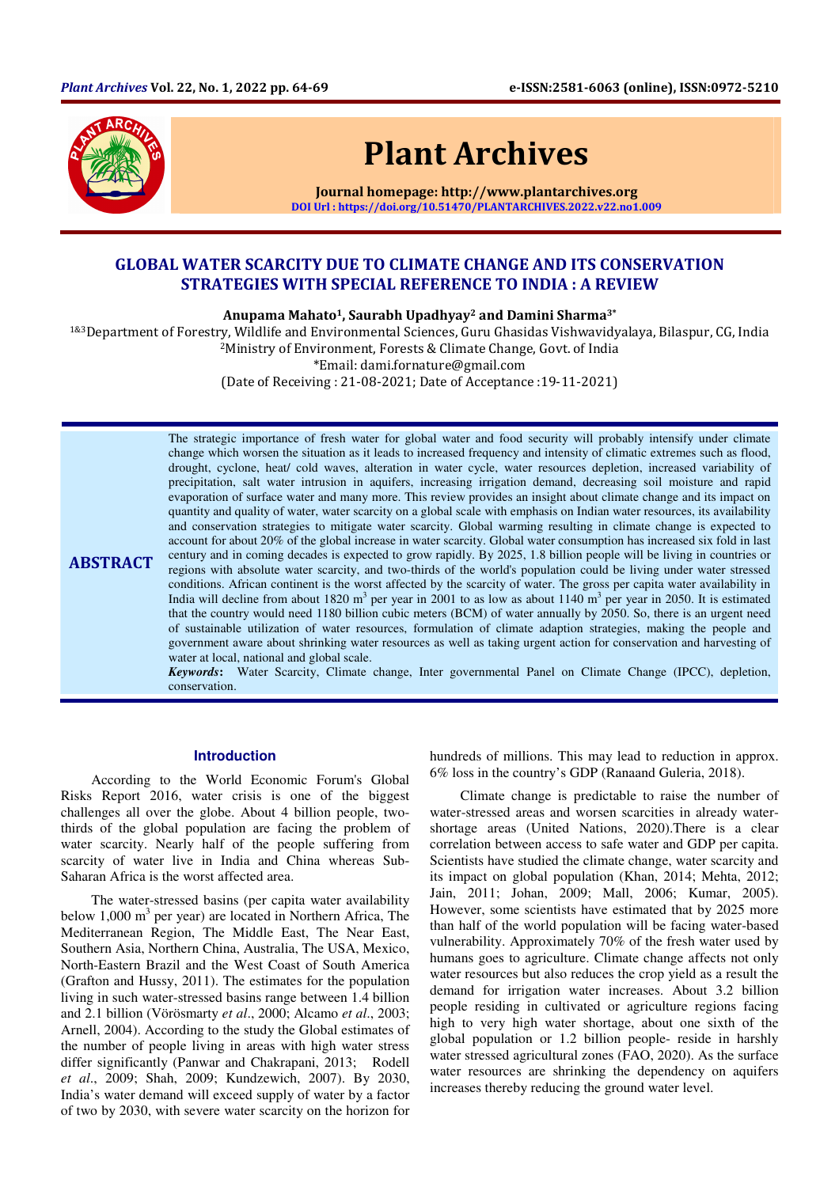

# Plant Archives

Journal homepage: http://www.plantarchives.org DOI Url : https://doi.org/10.51470/PLANTARCHIVES.2022.v22.no1.009

## GLOBAL WATER SCARCITY DUE TO CLIMATE CHANGE AND ITS CONSERVATION STRATEGIES WITH SPECIAL REFERENCE TO INDIA : A REVIEW

Anupama Mahato<sup>1</sup>, Saurabh Upadhyay<sup>2</sup> and Damini Sharma<sup>3\*</sup>

1&3Department of Forestry, Wildlife and Environmental Sciences, Guru Ghasidas Vishwavidyalaya, Bilaspur, CG, India <sup>2</sup>Ministry of Environment, Forests & Climate Change, Govt. of India

\*Email: dami.fornature@gmail.com

(Date of Receiving : 21-08-2021; Date of Acceptance :19-11-2021)

ABSTRACT The strategic importance of fresh water for global water and food security will probably intensify under climate change which worsen the situation as it leads to increased frequency and intensity of climatic extremes such as flood, drought, cyclone, heat/ cold waves, alteration in water cycle, water resources depletion, increased variability of precipitation, salt water intrusion in aquifers, increasing irrigation demand, decreasing soil moisture and rapid evaporation of surface water and many more. This review provides an insight about climate change and its impact on quantity and quality of water, water scarcity on a global scale with emphasis on Indian water resources, its availability and conservation strategies to mitigate water scarcity. Global warming resulting in climate change is expected to account for about 20% of the global increase in water scarcity. Global water consumption has increased six fold in last century and in coming decades is expected to grow rapidly. By 2025, 1.8 billion people will be living in countries or regions with absolute water scarcity, and two-thirds of the world's population could be living under water stressed conditions. African continent is the worst affected by the scarcity of water. The gross per capita water availability in India will decline from about 1820 m<sup>3</sup> per year in 2001 to as low as about 1140 m<sup>3</sup> per year in 2050. It is estimated that the country would need 1180 billion cubic meters (BCM) of water annually by 2050. So, there is an urgent need of sustainable utilization of water resources, formulation of climate adaption strategies, making the people and government aware about shrinking water resources as well as taking urgent action for conservation and harvesting of water at local, national and global scale.

*Keywords***:** Water Scarcity, Climate change, Inter governmental Panel on Climate Change (IPCC), depletion, conservation.

## **Introduction**

According to the World Economic Forum's Global Risks Report 2016, water crisis is one of the biggest challenges all over the globe. About 4 billion people, twothirds of the global population are facing the problem of water scarcity. Nearly half of the people suffering from scarcity of water live in India and China whereas Sub-Saharan Africa is the worst affected area.

The water-stressed basins (per capita water availability below  $1,000 \text{ m}^3$  per year) are located in Northern Africa, The Mediterranean Region, The Middle East, The Near East, Southern Asia, Northern China, Australia, The USA, Mexico, North-Eastern Brazil and the West Coast of South America (Grafton and Hussy, 2011). The estimates for the population living in such water-stressed basins range between 1.4 billion and 2.1 billion (Vörösmarty *et al*., 2000; Alcamo *et al*., 2003; Arnell, 2004). According to the study the Global estimates of the number of people living in areas with high water stress differ significantly (Panwar and Chakrapani, 2013; Rodell *et al*., 2009; Shah, 2009; Kundzewich, 2007). By 2030, India's water demand will exceed supply of water by a factor of two by 2030, with severe water scarcity on the horizon for

hundreds of millions. This may lead to reduction in approx. 6% loss in the country's GDP (Ranaand Guleria, 2018).

Climate change is predictable to raise the number of water-stressed areas and worsen scarcities in already watershortage areas (United Nations, 2020).There is a clear correlation between access to safe water and GDP per capita. Scientists have studied the climate change, water scarcity and its impact on global population (Khan, 2014; Mehta, 2012; Jain, 2011; Johan, 2009; Mall, 2006; Kumar, 2005). However, some scientists have estimated that by 2025 more than half of the world population will be facing water-based vulnerability. Approximately 70% of the fresh water used by humans goes to agriculture. Climate change affects not only water resources but also reduces the crop yield as a result the demand for irrigation water increases. About 3.2 billion people residing in cultivated or agriculture regions facing high to very high water shortage, about one sixth of the global population or 1.2 billion people- reside in harshly water stressed agricultural zones (FAO, 2020). As the surface water resources are shrinking the dependency on aquifers increases thereby reducing the ground water level.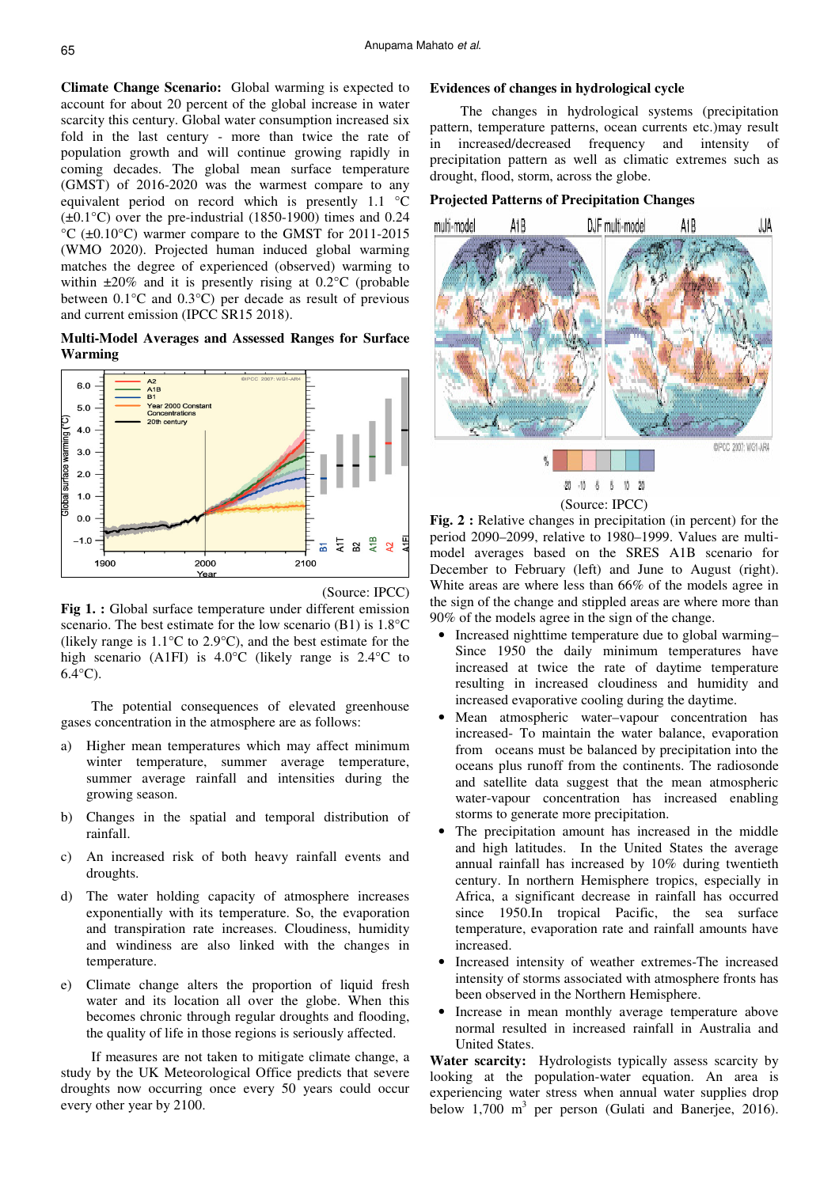**Climate Change Scenario:** Global warming is expected to account for about 20 percent of the global increase in water scarcity this century. Global water consumption increased six fold in the last century - more than twice the rate of population growth and will continue growing rapidly in coming decades. The global mean surface temperature (GMST) of 2016-2020 was the warmest compare to any equivalent period on record which is presently 1.1 °C  $(\pm 0.1^{\circ}$ C) over the pre-industrial (1850-1900) times and 0.24 °C (±0.10°C) warmer compare to the GMST for 2011-2015 (WMO 2020). Projected human induced global warming matches the degree of experienced (observed) warming to within  $\pm 20\%$  and it is presently rising at 0.2°C (probable between 0.1°C and 0.3°C) per decade as result of previous and current emission (IPCC SR15 2018).

**Multi-Model Averages and Assessed Ranges for Surface Warming** 





Fig 1. : Global surface temperature under different emission scenario. The best estimate for the low scenario (B1) is 1.8°C (likely range is 1.1°C to 2.9°C), and the best estimate for the high scenario (A1FI) is 4.0°C (likely range is 2.4°C to 6.4°C).

The potential consequences of elevated greenhouse gases concentration in the atmosphere are as follows:

- a) Higher mean temperatures which may affect minimum winter temperature, summer average temperature, summer average rainfall and intensities during the growing season.
- b) Changes in the spatial and temporal distribution of rainfall.
- c) An increased risk of both heavy rainfall events and droughts.
- d) The water holding capacity of atmosphere increases exponentially with its temperature. So, the evaporation and transpiration rate increases. Cloudiness, humidity and windiness are also linked with the changes in temperature.
- e) Climate change alters the proportion of liquid fresh water and its location all over the globe. When this becomes chronic through regular droughts and flooding, the quality of life in those regions is seriously affected.

If measures are not taken to mitigate climate change, a study by the UK Meteorological Office predicts that severe droughts now occurring once every 50 years could occur every other year by 2100.

#### **Evidences of changes in hydrological cycle**

The changes in hydrological systems (precipitation pattern, temperature patterns, ocean currents etc.)may result in increased/decreased frequency and intensity of precipitation pattern as well as climatic extremes such as drought, flood, storm, across the globe.

## **Projected Patterns of Precipitation Changes**





**Fig. 2 :** Relative changes in precipitation (in percent) for the period 2090–2099, relative to 1980–1999. Values are multimodel averages based on the SRES A1B scenario for December to February (left) and June to August (right). White areas are where less than 66% of the models agree in the sign of the change and stippled areas are where more than 90% of the models agree in the sign of the change.

- Increased nighttime temperature due to global warming– Since 1950 the daily minimum temperatures have increased at twice the rate of daytime temperature resulting in increased cloudiness and humidity and increased evaporative cooling during the daytime.
- Mean atmospheric water–vapour concentration has increased- To maintain the water balance, evaporation from oceans must be balanced by precipitation into the oceans plus runoff from the continents. The radiosonde and satellite data suggest that the mean atmospheric water-vapour concentration has increased enabling storms to generate more precipitation.
- The precipitation amount has increased in the middle and high latitudes. In the United States the average annual rainfall has increased by 10% during twentieth century. In northern Hemisphere tropics, especially in Africa, a significant decrease in rainfall has occurred since 1950.In tropical Pacific, the sea surface temperature, evaporation rate and rainfall amounts have increased.
- Increased intensity of weather extremes-The increased intensity of storms associated with atmosphere fronts has been observed in the Northern Hemisphere.
- Increase in mean monthly average temperature above normal resulted in increased rainfall in Australia and United States.

**Water scarcity:** Hydrologists typically assess scarcity by looking at the population-water equation. An area is experiencing water stress when annual water supplies drop below 1,700  $m<sup>3</sup>$  per person (Gulati and Banerjee, 2016).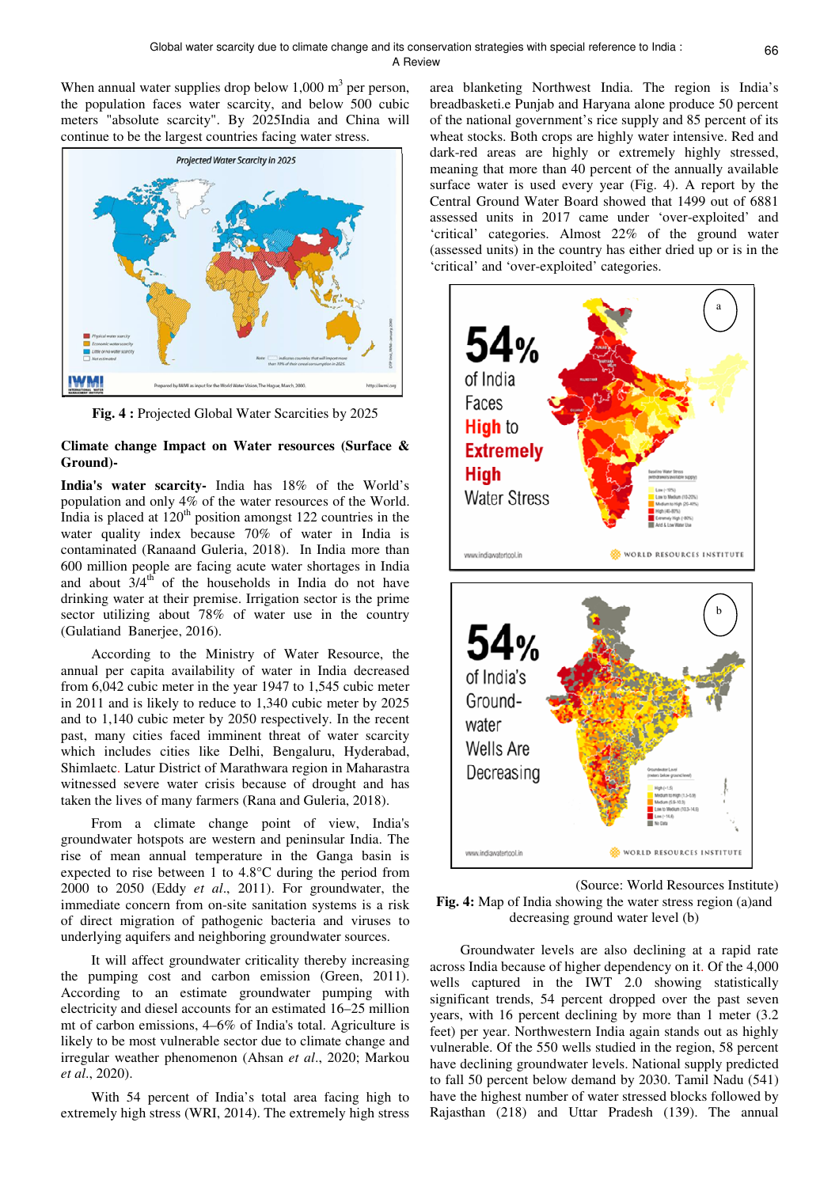When annual water supplies drop below  $1,000 \text{ m}^3$  per person, the population faces water scarcity, and below 500 cubic meters "absolute scarcity". By 2025India and China will continue to be the largest countries facing water stress.



**Fig. 4 :** Projected Global Water Scarcities by 2025

## **Climate change Impact on Water resources (Surface & Ground)-**

**India's water scarcity-** India has 18% of the World's population and only 4% of the water resources of the World. India is placed at  $120<sup>th</sup>$  position amongst 122 countries in the water quality index because 70% of water in India is contaminated (Ranaand Guleria, 2018). In India more than 600 million people are facing acute water shortages in India and about  $3/4<sup>th</sup>$  of the households in India do not have drinking water at their premise. Irrigation sector is the prime sector utilizing about 78% of water use in the country (Gulatiand Banerjee, 2016).

According to the Ministry of Water Resource, the annual per capita availability of water in India decreased from 6,042 cubic meter in the year 1947 to 1,545 cubic meter in 2011 and is likely to reduce to 1,340 cubic meter by 2025 and to 1,140 cubic meter by 2050 respectively. In the recent past, many cities faced imminent threat of water scarcity which includes cities like Delhi, Bengaluru, Hyderabad, Shimlaetc. Latur District of Marathwara region in Maharastra witnessed severe water crisis because of drought and has taken the lives of many farmers (Rana and Guleria, 2018).

From a climate change point of view, India's groundwater hotspots are western and peninsular India. The rise of mean annual temperature in the Ganga basin is expected to rise between 1 to 4.8°C during the period from 2000 to 2050 (Eddy *et al*., 2011). For groundwater, the immediate concern from on-site sanitation systems is a risk of direct migration of pathogenic bacteria and viruses to underlying aquifers and neighboring groundwater sources.

It will affect groundwater criticality thereby increasing the pumping cost and carbon emission (Green, 2011). According to an estimate groundwater pumping with electricity and diesel accounts for an estimated 16–25 million mt of carbon emissions, 4–6% of India's total. Agriculture is likely to be most vulnerable sector due to climate change and irregular weather phenomenon (Ahsan *et al*., 2020; Markou *et al*., 2020).

With 54 percent of India's total area facing high to extremely high stress (WRI, 2014). The extremely high stress area blanketing Northwest India. The region is India's breadbasketi.e Punjab and Haryana alone produce 50 percent of the national government's rice supply and 85 percent of its wheat stocks. Both crops are highly water intensive. Red and dark-red areas are highly or extremely highly stressed, meaning that more than 40 percent of the annually available surface water is used every year (Fig. 4). A report by the Central Ground Water Board showed that 1499 out of 6881 assessed units in 2017 came under 'over-exploited' and 'critical' categories. Almost 22% of the ground water (assessed units) in the country has either dried up or is in the 'critical' and 'over-exploited' categories.



(Source: World Resources Institute) **Fig. 4:** Map of India showing the water stress region (a)and decreasing ground water level (b)

Groundwater levels are also declining at a rapid rate across India because of higher dependency on it. Of the 4,000 wells captured in the IWT 2.0 showing statistically significant trends, 54 percent dropped over the past seven years, with 16 percent declining by more than 1 meter (3.2 feet) per year. Northwestern India again stands out as highly vulnerable. Of the 550 wells studied in the region, 58 percent have declining groundwater levels. National supply predicted to fall 50 percent below demand by 2030. Tamil Nadu (541) have the highest number of water stressed blocks followed by Rajasthan (218) and Uttar Pradesh (139). The annual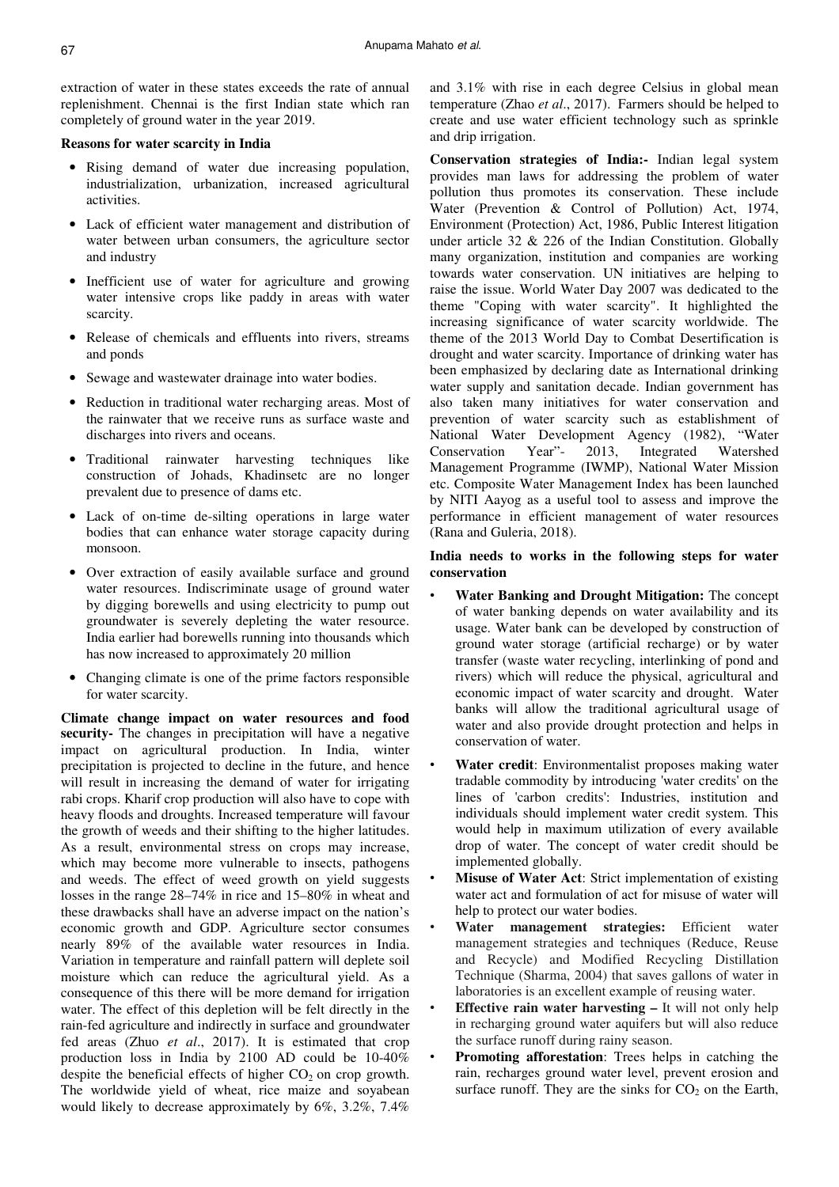extraction of water in these states exceeds the rate of annual replenishment. Chennai is the first Indian state which ran completely of ground water in the year 2019.

#### **Reasons for water scarcity in India**

- Rising demand of water due increasing population, industrialization, urbanization, increased agricultural activities.
- Lack of efficient water management and distribution of water between urban consumers, the agriculture sector and industry
- Inefficient use of water for agriculture and growing water intensive crops like paddy in areas with water scarcity.
- Release of chemicals and effluents into rivers, streams and ponds
- Sewage and wastewater drainage into water bodies.
- Reduction in traditional water recharging areas. Most of the rainwater that we receive runs as surface waste and discharges into rivers and oceans.
- Traditional rainwater harvesting techniques like construction of Johads, Khadinsetc are no longer prevalent due to presence of dams etc.
- Lack of on-time de-silting operations in large water bodies that can enhance water storage capacity during monsoon.
- Over extraction of easily available surface and ground water resources. Indiscriminate usage of ground water by digging borewells and using electricity to pump out groundwater is severely depleting the water resource. India earlier had borewells running into thousands which has now increased to approximately 20 million
- Changing climate is one of the prime factors responsible for water scarcity.

**Climate change impact on water resources and food security-** The changes in precipitation will have a negative impact on agricultural production. In India, winter precipitation is projected to decline in the future, and hence will result in increasing the demand of water for irrigating rabi crops. Kharif crop production will also have to cope with heavy floods and droughts. Increased temperature will favour the growth of weeds and their shifting to the higher latitudes. As a result, environmental stress on crops may increase, which may become more vulnerable to insects, pathogens and weeds. The effect of weed growth on yield suggests losses in the range 28–74% in rice and 15–80% in wheat and these drawbacks shall have an adverse impact on the nation's economic growth and GDP. Agriculture sector consumes nearly 89% of the available water resources in India. Variation in temperature and rainfall pattern will deplete soil moisture which can reduce the agricultural yield. As a consequence of this there will be more demand for irrigation water. The effect of this depletion will be felt directly in the rain-fed agriculture and indirectly in surface and groundwater fed areas (Zhuo *et al*., 2017). It is estimated that crop production loss in India by 2100 AD could be 10-40% despite the beneficial effects of higher  $CO<sub>2</sub>$  on crop growth. The worldwide yield of wheat, rice maize and soyabean would likely to decrease approximately by 6%, 3.2%, 7.4%

and 3.1% with rise in each degree Celsius in global mean temperature (Zhao *et al*., 2017). Farmers should be helped to create and use water efficient technology such as sprinkle and drip irrigation.

**Conservation strategies of India:-** Indian legal system provides man laws for addressing the problem of water pollution thus promotes its conservation. These include Water (Prevention & Control of Pollution) Act, 1974, Environment (Protection) Act, 1986, Public Interest litigation under article 32 & 226 of the Indian Constitution. Globally many organization, institution and companies are working towards water conservation. UN initiatives are helping to raise the issue. World Water Day 2007 was dedicated to the theme "Coping with water scarcity". It highlighted the increasing significance of water scarcity worldwide. The theme of the 2013 World Day to Combat Desertification is drought and water scarcity. Importance of drinking water has been emphasized by declaring date as International drinking water supply and sanitation decade. Indian government has also taken many initiatives for water conservation and prevention of water scarcity such as establishment of National Water Development Agency (1982), "Water Conservation Year"- 2013, Integrated Watershed Management Programme (IWMP), National Water Mission etc. Composite Water Management Index has been launched by NITI Aayog as a useful tool to assess and improve the performance in efficient management of water resources (Rana and Guleria, 2018).

## **India needs to works in the following steps for water conservation**

- **Water Banking and Drought Mitigation:** The concept of water banking depends on water availability and its usage. Water bank can be developed by construction of ground water storage (artificial recharge) or by water transfer (waste water recycling, interlinking of pond and rivers) which will reduce the physical, agricultural and economic impact of water scarcity and drought. Water banks will allow the traditional agricultural usage of water and also provide drought protection and helps in conservation of water.
- **Water credit:** Environmentalist proposes making water tradable commodity by introducing 'water credits' on the lines of 'carbon credits': Industries, institution and individuals should implement water credit system. This would help in maximum utilization of every available drop of water. The concept of water credit should be implemented globally.
- **Misuse of Water Act:** Strict implementation of existing water act and formulation of act for misuse of water will help to protect our water bodies.
- **Water management strategies:** Efficient water management strategies and techniques (Reduce, Reuse and Recycle) and Modified Recycling Distillation Technique (Sharma, 2004) that saves gallons of water in laboratories is an excellent example of reusing water.
- **Effective rain water harvesting It will not only help** in recharging ground water aquifers but will also reduce the surface runoff during rainy season.
- **Promoting afforestation:** Trees helps in catching the rain, recharges ground water level, prevent erosion and surface runoff. They are the sinks for  $CO<sub>2</sub>$  on the Earth,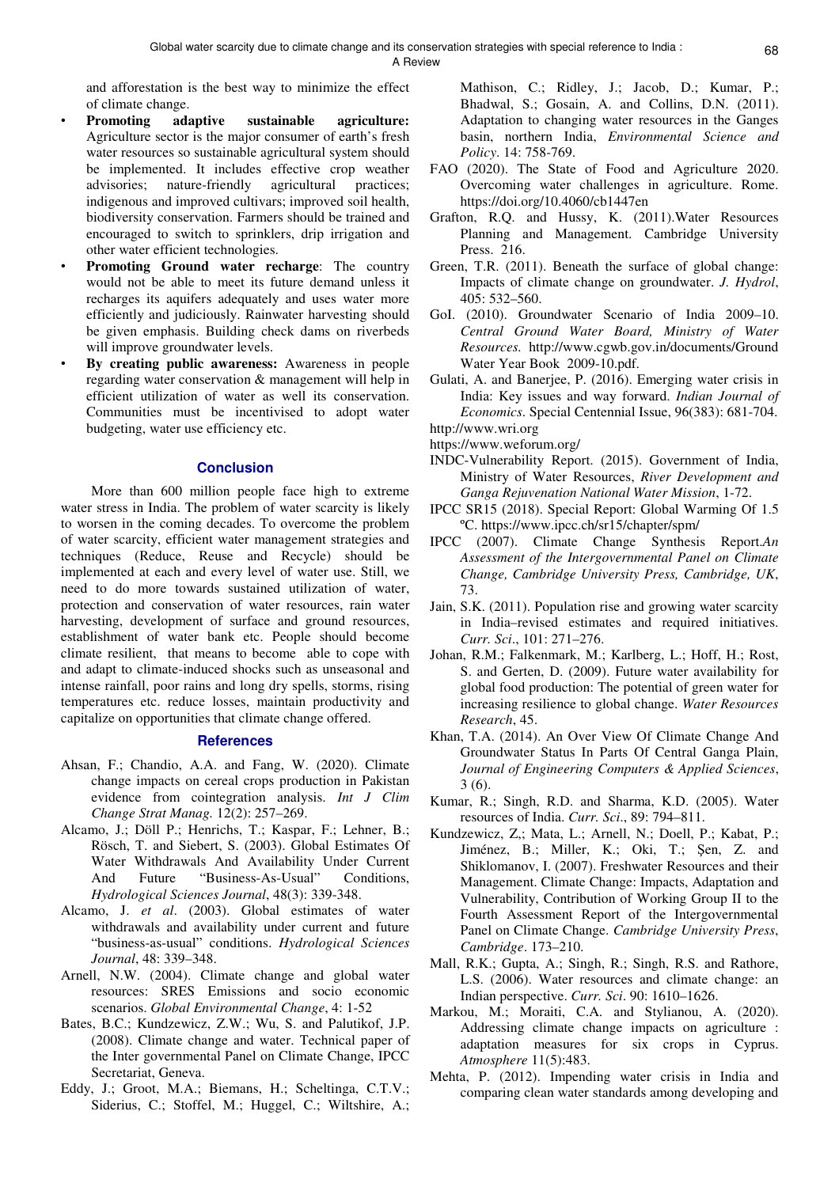and afforestation is the best way to minimize the effect of climate change.

- **Promoting adaptive sustainable agriculture:**  Agriculture sector is the major consumer of earth's fresh water resources so sustainable agricultural system should be implemented. It includes effective crop weather advisories; nature-friendly agricultural practices; indigenous and improved cultivars; improved soil health, biodiversity conservation. Farmers should be trained and encouraged to switch to sprinklers, drip irrigation and other water efficient technologies.
- **Promoting Ground water recharge:** The country would not be able to meet its future demand unless it recharges its aquifers adequately and uses water more efficiently and judiciously. Rainwater harvesting should be given emphasis. Building check dams on riverbeds will improve groundwater levels.
- **By creating public awareness:** Awareness in people regarding water conservation & management will help in efficient utilization of water as well its conservation. Communities must be incentivised to adopt water budgeting, water use efficiency etc.

#### **Conclusion**

More than 600 million people face high to extreme water stress in India. The problem of water scarcity is likely to worsen in the coming decades. To overcome the problem of water scarcity, efficient water management strategies and techniques (Reduce, Reuse and Recycle) should be implemented at each and every level of water use. Still, we need to do more towards sustained utilization of water, protection and conservation of water resources, rain water harvesting, development of surface and ground resources, establishment of water bank etc. People should become climate resilient, that means to become able to cope with and adapt to climate-induced shocks such as unseasonal and intense rainfall, poor rains and long dry spells, storms, rising temperatures etc. reduce losses, maintain productivity and capitalize on opportunities that climate change offered.

## **References**

- Ahsan, F.; Chandio, A.A. and Fang, W. (2020). Climate change impacts on cereal crops production in Pakistan evidence from cointegration analysis. *Int J Clim Change Strat Manag.* 12(2): 257–269.
- Alcamo, J.; Döll P.; Henrichs, T.; Kaspar, F.; Lehner, B.; Rösch, T. and Siebert, S. (2003). Global Estimates Of Water Withdrawals And Availability Under Current And Future "Business-As-Usual" Conditions, *Hydrological Sciences Journal*, 48(3): 339-348.
- Alcamo, J. *et al*. (2003). Global estimates of water withdrawals and availability under current and future "business-as-usual" conditions. *Hydrological Sciences Journal*, 48: 339–348.
- Arnell, N.W. (2004). Climate change and global water resources: SRES Emissions and socio economic scenarios. *Global Environmental Change*, 4: 1-52
- Bates, B.C.; Kundzewicz, Z.W.; Wu, S. and Palutikof, J.P. (2008). Climate change and water. Technical paper of the Inter governmental Panel on Climate Change, IPCC Secretariat, Geneva.
- Eddy, J.; Groot, M.A.; Biemans, H.; Scheltinga, C.T.V.; Siderius, C.; Stoffel, M.; Huggel, C.; Wiltshire, A.;

Mathison, C.; Ridley, J.; Jacob, D.; Kumar, P.; Bhadwal, S.; Gosain, A. and Collins, D.N. (2011). Adaptation to changing water resources in the Ganges basin, northern India, *Environmental Science and Policy*. 14: 758-769.

- FAO (2020). The State of Food and Agriculture 2020. Overcoming water challenges in agriculture. Rome. https://doi.org/10.4060/cb1447en
- Grafton, R.Q. and Hussy, K. (2011).Water Resources Planning and Management. Cambridge University Press. 216.
- Green, T.R. (2011). Beneath the surface of global change: Impacts of climate change on groundwater. *J. Hydrol*, 405: 532–560.
- GoI. (2010). Groundwater Scenario of India 2009–10. *Central Ground Water Board, Ministry of Water Resources.* http://www.cgwb.gov.in/documents/Ground Water Year Book 2009-10.pdf.
- Gulati, A. and Banerjee, P. (2016). Emerging water crisis in India: Key issues and way forward. *Indian Journal of Economics*. Special Centennial Issue, 96(383): 681-704. http://www.wri.org
- https://www.weforum.org/
- INDC-Vulnerability Report. (2015). Government of India, Ministry of Water Resources, *River Development and Ganga Rejuvenation National Water Mission*, 1-72.
- IPCC SR15 (2018). Special Report: Global Warming Of 1.5 ºC. https://www.ipcc.ch/sr15/chapter/spm/
- IPCC (2007). Climate Change Synthesis Report.*An Assessment of the Intergovernmental Panel on Climate Change, Cambridge University Press, Cambridge, UK*, 73.
- Jain, S.K. (2011). Population rise and growing water scarcity in India–revised estimates and required initiatives. *Curr. Sci*., 101: 271–276.
- Johan, R.M.; Falkenmark, M.; Karlberg, L.; Hoff, H.; Rost, S. and Gerten, D. (2009). Future water availability for global food production: The potential of green water for increasing resilience to global change. *Water Resources Research*, 45.
- Khan, T.A. (2014). An Over View Of Climate Change And Groundwater Status In Parts Of Central Ganga Plain, *Journal of Engineering Computers & Applied Sciences*, 3 (6).
- Kumar, R.; Singh, R.D. and Sharma, K.D. (2005). Water resources of India. *Curr. Sci*., 89: 794–811.
- Kundzewicz, Z,; Mata, L.; Arnell, N.; Doell, P.; Kabat, P.; Jiménez, B.; Miller, K.; Oki, T.; Şen, Z. and Shiklomanov, I. (2007). Freshwater Resources and their Management. Climate Change: Impacts, Adaptation and Vulnerability, Contribution of Working Group II to the Fourth Assessment Report of the Intergovernmental Panel on Climate Change. *Cambridge University Press*, *Cambridge*. 173–210.
- Mall, R.K.; Gupta, A.; Singh, R.; Singh, R.S. and Rathore, L.S. (2006). Water resources and climate change: an Indian perspective. *Curr. Sci*. 90: 1610–1626.
- Markou, M.; Moraiti, C.A. and Stylianou, A. (2020). Addressing climate change impacts on agriculture : adaptation measures for six crops in Cyprus. *Atmosphere* 11(5):483.
- Mehta, P. (2012). Impending water crisis in India and comparing clean water standards among developing and